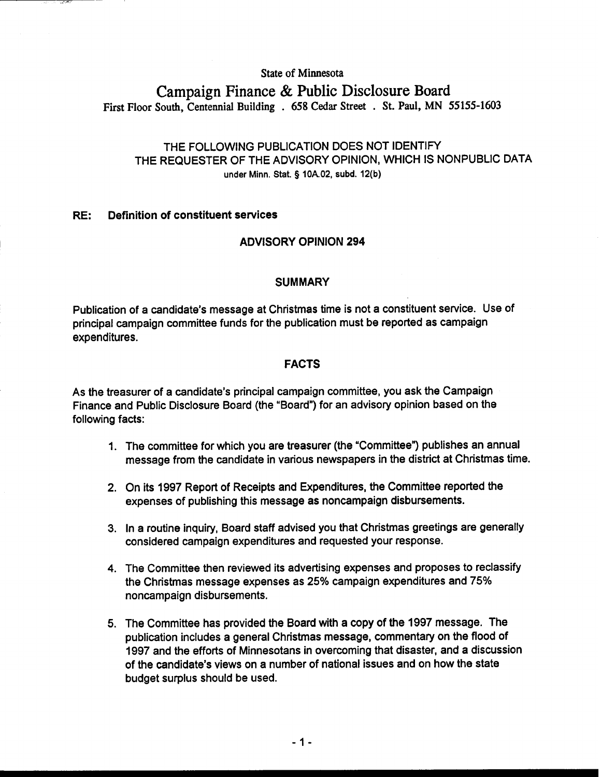**State of Minnesota** 

# **Campaign Finance** & **Public Disclosure Board First Floor South, Centennial Building** . **658 Cedar Street** . **St. Paul, MN 55155-1603**

# THE FOLLOWING PUBLICATION DOES NOT IDENTIFY THE REQUESTER OF THE ADVISORY OPINION, WHICH IS NONPUBLIC DATA **under Minn. Stat. 9 10A.02, subd. 12(b)**

#### RE: Definition of constituent services

# ADVISORY OPINION 294

### **SUMMARY**

Publication of a candidate's message at Christmas time is not a constituent service. Use of principal campaign committee funds for the publication must be reported as campaign expenditures.

# FACTS

As the treasurer of a candidate's principal campaign committee, you ask the Campaign Finance and Public Disclosure Board (the "Board") for an advisory opinion based on the following facts:

- 1. The committee for which you are treasurer (the "Committee") publishes an annual message from the candidate in various newspapers in the district at Christmas time.
- 2. On its 1997 Report of Receipts and Expenditures, the Committee reported the expenses of publishing this message as noncampaign disbursements.
- 3. In a routine inquiry, Board staff advised you that Christmas greetings are generally considered campaign expenditures and requested your response.
- 4. The Committee then reviewed its advertising expenses and proposes to reclassify the Christmas message expenses as 25% campaign expenditures and 75% noncampaign disbursements.
- 5. The Committee has provided the Board with a copy of the 1997 message. The publication includes a general Christmas message, commentary on the flood of 1997 and the efforts of Minnesotans in overcoming that disaster, and a discussion of the candidate's views on a number of national issues and on how the state budget surplus should be used.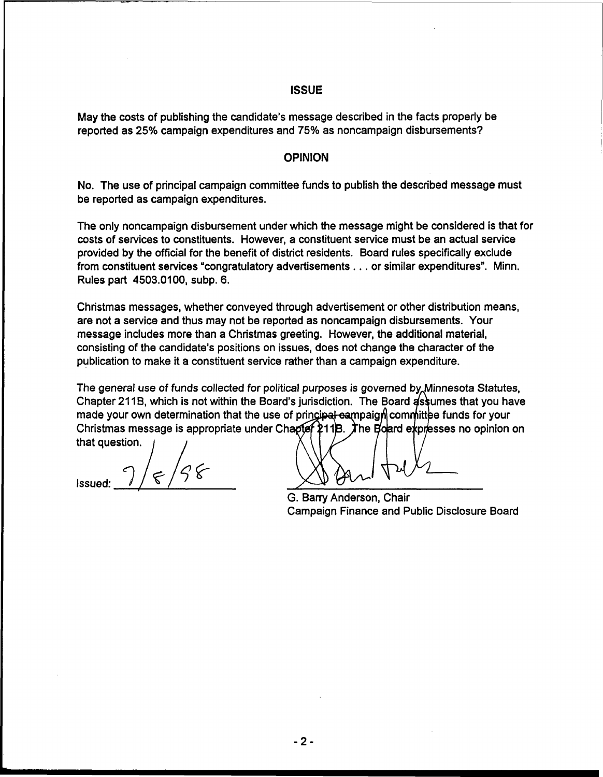#### **ISSUE**

May the costs of publishing the candidate's message described in the facts properly be reported as 25% campaign expenditures and 75% as noncampaign disbursements?

#### **OPINION**

No. The use of principal campaign committee funds to publish the described message must be reported as campaign expenditures.

The only noncampaign disbursement under which the message might be considered is that for costs of services to constituents. However, a constituent service must be an actual service provided by the official for the benefit of district residents. Board rules specifically exclude from constituent services "congratulatory advertisements . . . or similar expenditures". Minn. Rules part 4503.0100, subp. 6.

Christmas messages, whether conveyed through advertisement or other distribution means, are not a service and thus may not be reported as noncampaign disbursements. Your message includes more than a Christmas greeting. However, the additional material, consisting of the candidate's positions on issues, does not change the character of the publication to make it a constituent service rather than a campaign expenditure.

The general use of funds collected for political purposes is governed by Minnesota Statutes, Chapter 211B, which is not within the Board's jurisdiction. The Board assumes that you have made your own determination that the use of principal eampaign committee funds for your Christmas message is appropriate under Chapter 211B. The Board expresses no opinion on that question.

Issued:  $7/5/5$ 

G. Barry Anderson, Chair Campaign Finance and Public Disclosure Board